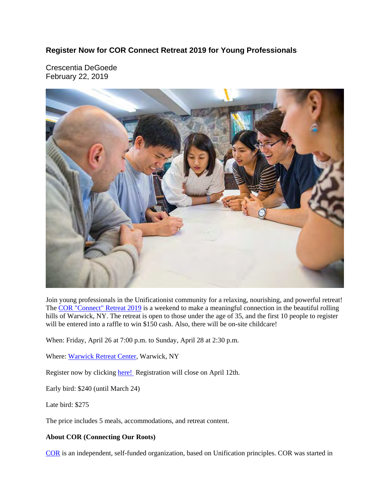#### **Register Now for COR Connect Retreat 2019 for Young Professionals**

Crescentia DeGoede February 22, 2019



Join young professionals in the Unificationist community for a relaxing, nourishing, and powerful retreat! The COR "Connect" Retreat 2019 is a weekend to make a meaningful connection in the beautiful rolling hills of Warwick, NY. The retreat is open to those under the age of 35, and the first 10 people to register will be entered into a raffle to win \$150 cash. Also, there will be on-site childcare!

When: Friday, April 26 at 7:00 p.m. to Sunday, April 28 at 2:30 p.m.

Where: Warwick Retreat Center, Warwick, NY

Register now by clicking here! Registration will close on April 12th.

Early bird: \$240 (until March 24)

Late bird: \$275

The price includes 5 meals, accommodations, and retreat content.

#### **About COR (Connecting Our Roots)**

COR is an independent, self-funded organization, based on Unification principles. COR was started in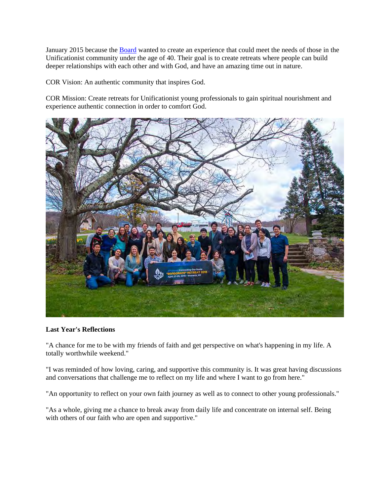January 2015 because the Board wanted to create an experience that could meet the needs of those in the Unificationist community under the age of 40. Their goal is to create retreats where people can build deeper relationships with each other and with God, and have an amazing time out in nature.

COR Vision: An authentic community that inspires God.

COR Mission: Create retreats for Unificationist young professionals to gain spiritual nourishment and experience authentic connection in order to comfort God.



#### **Last Year's Reflections**

"A chance for me to be with my friends of faith and get perspective on what's happening in my life. A totally worthwhile weekend."

"I was reminded of how loving, caring, and supportive this community is. It was great having discussions and conversations that challenge me to reflect on my life and where I want to go from here."

"An opportunity to reflect on your own faith journey as well as to connect to other young professionals."

"As a whole, giving me a chance to break away from daily life and concentrate on internal self. Being with others of our faith who are open and supportive."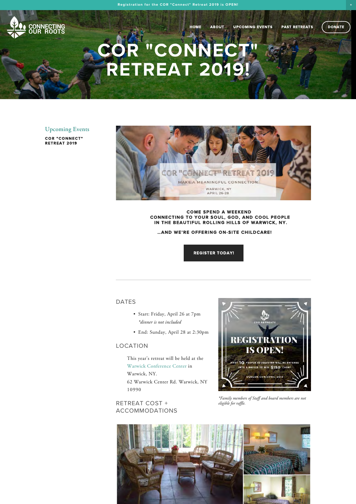:<mark>onnecting</mark><br>UR ROOTS

HOME ABOUT UPCOMING EVENTS PAST RETREATS (DONATE

# COR "CONNECT" **RETREAT 2019!**

#### Upcoming Events

COR "CONNECT"<br>RETREAT 2019



#### **COME SPEND A WEEKEND** CONNECTING TO YOUR SOUL, GOD, AND COOL PEOPLE IN THE BEAUTIFUL ROLLING HILLS OF WARWICK, NY.

... AND WE'RE OFFERING ON-SITE CHILDCARE!

**REGISTER TODAY!** 

#### **DATES**

- Start: Friday, April 26 at 7pm *\*dinner is not included*
- End: Sunday, April 28 at 2:30pm

#### LOCATION

This year's retreat will be held at the Warwick Conference Center in Warwick, NY. 62 Warwick Center Rd. Warwick, NY 10990

RETREAT COST + **ACCOMMODATIONS** 



*\*Family members of Staff and board members are not eligible for raffle.*

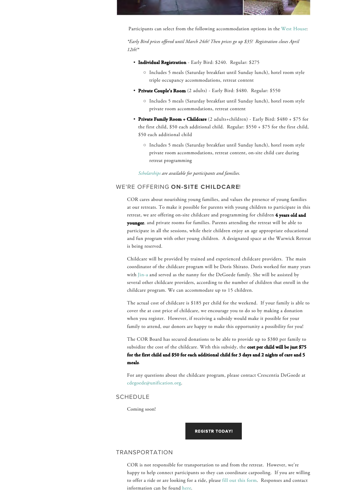

Participants can select from the following accommodation options in the West House:

*\*Early Bird prices offered until March 24th! Then prices go up \$35! Registration closes April 12th!\**

- Individual Registration Early Bird: \$240. Regular: \$275
	- Includes 5 meals (Saturday breakfast until Sunday lunch), hotel room style triple occupancy accommodations, retreat content
- Private Couple's Room (2 adults) Early Bird: \$480. Regular: \$550
	- Includes 5 meals (Saturday breakfast until Sunday lunch), hotel room style private room accommodations, retreat content
- Private Family Room + Childcare (2 adults+children) Early Bird: \$480 + \$75 for the first child, \$50 each additional child. Regular: \$550 + \$75 for the first child, \$50 each additional child
	- Includes 5 meals (Saturday breakfast until Sunday lunch), hotel room style private room accommodations, retreat content, on-site child care during retreat programming

*Scholarships are available for participants and families.*

#### WE'RE OFFFRING ON-SITE CHILDCARE!

COR cares about nourishing young families, and values the presence of young families at our retreats. To make it possible for parents with young children to participate in this retreat, we are offering on-site childcare and programming for children 4 years old and younger, and private rooms for families. Parents attending the retreat will be able to participate in all the sessions, while their children enjoy an age appropriate educational and fun program with other young children. A designated space at the Warwick Retreat is being reserved.

Childcare will be provided by trained and experienced childcare providers. The main coordinator of the childcare program will be Doris Shirato. Doris worked for many years with Jin-a and served as the nanny for the DeGoede family. She will be assisted by several other childcare providers, according to the number of children that enroll in the childcare program. We can accommodate up to 15 children.

The actual cost of childcare is \$185 per child for the weekend. If your family is able to cover the at cost price of childcare, we encourage you to do so by making a donation when you register. However, if receiving a subsidy would make it possible for your family to attend, our donors are happy to make this opportunity a possibility for you!

The COR Board has secured donations to be able to provide up to \$380 per family to subsidize the cost of the childcare. With this subsidy, the cost per child will be just \$75 for the first child and \$50 for each additional child for 3 days and 2 nights of care and 5 meals.

For any questions about the childcare program, please contact Crescentia DeGoede at cdegoede@unification.org.

#### SCHEDULE

Coming soon!

REGISTR TODAY!

#### **TRANSPORTATION**

COR is not responsible for transportation to and from the retreat. However, we're happy to help connect participants so they can coordinate carpooling. If you are willing to offer a ride or are looking for a ride, please fill out this form. Responses and contact information can be found here.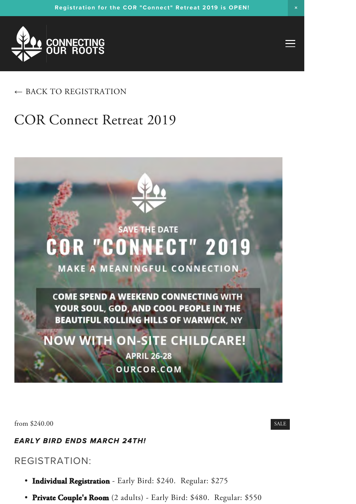

### $\leftarrow$  BACK TO REGISTRATION

## COR Connect Retreat 2019



from \$240.00 SALE

#### *EARLY BIRD ENDS MARCH 24TH!*

#### REGISTRATION:

- Individual Registration Early Bird: \$240. Regular: \$275
- Private Couple's Room (2 adults) Early Bird: \$480. Regular: \$550